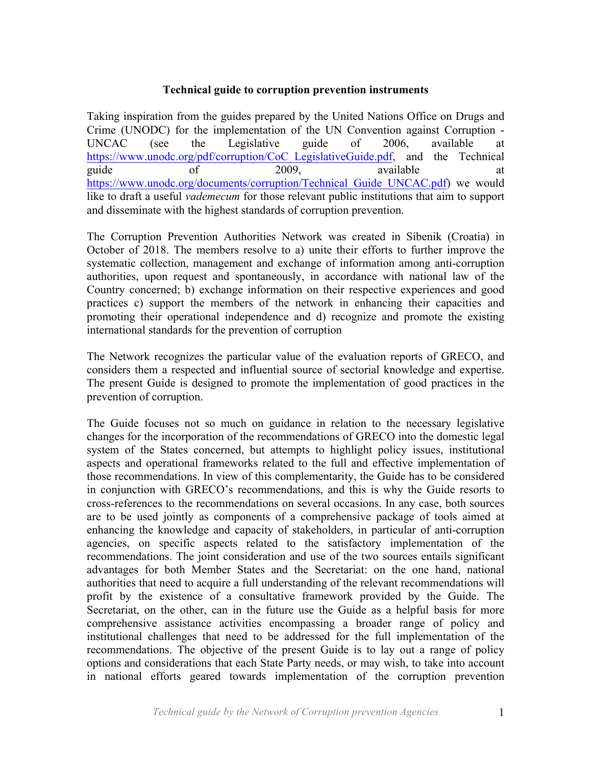#### **Technical guide to corruption prevention instruments**

Taking inspiration from the guides prepared by the United Nations Office on Drugs and Crime (UNODC) for the implementation of the UN Convention against Corruption - UNCAC (see the Legislative guide of 2006, available at https://www.unodc.org/pdf/corruption/CoC\_LegislativeGuide.pdf, and the Technical guide of 2009, available at https://www.unodc.org/documents/corruption/Technical Guide UNCAC.pdf) we would like to draft a useful *vademecum* for those relevant public institutions that aim to support and disseminate with the highest standards of corruption prevention.

The Corruption Prevention Authorities Network was created in Sibenik (Croatia) in October of 2018. The members resolve to a) unite their efforts to further improve the systematic collection, management and exchange of information among anti-corruption authorities, upon request and spontaneously, in accordance with national law of the Country concerned; b) exchange information on their respective experiences and good practices c) support the members of the network in enhancing their capacities and promoting their operational independence and d) recognize and promote the existing international standards for the prevention of corruption

The Network recognizes the particular value of the evaluation reports of GRECO, and considers them a respected and influential source of sectorial knowledge and expertise. The present Guide is designed to promote the implementation of good practices in the prevention of corruption.

The Guide focuses not so much on guidance in relation to the necessary legislative changes for the incorporation of the recommendations of GRECO into the domestic legal system of the States concerned, but attempts to highlight policy issues, institutional aspects and operational frameworks related to the full and effective implementation of those recommendations. In view of this complementarity, the Guide has to be considered in conjunction with GRECO's recommendations, and this is why the Guide resorts to cross-references to the recommendations on several occasions. In any case, both sources are to be used jointly as components of a comprehensive package of tools aimed at enhancing the knowledge and capacity of stakeholders, in particular of anti-corruption agencies, on specific aspects related to the satisfactory implementation of the recommendations. The joint consideration and use of the two sources entails significant advantages for both Member States and the Secretariat: on the one hand, national authorities that need to acquire a full understanding of the relevant recommendations will profit by the existence of a consultative framework provided by the Guide. The Secretariat, on the other, can in the future use the Guide as a helpful basis for more comprehensive assistance activities encompassing a broader range of policy and institutional challenges that need to be addressed for the full implementation of the recommendations. The objective of the present Guide is to lay out a range of policy options and considerations that each State Party needs, or may wish, to take into account in national efforts geared towards implementation of the corruption prevention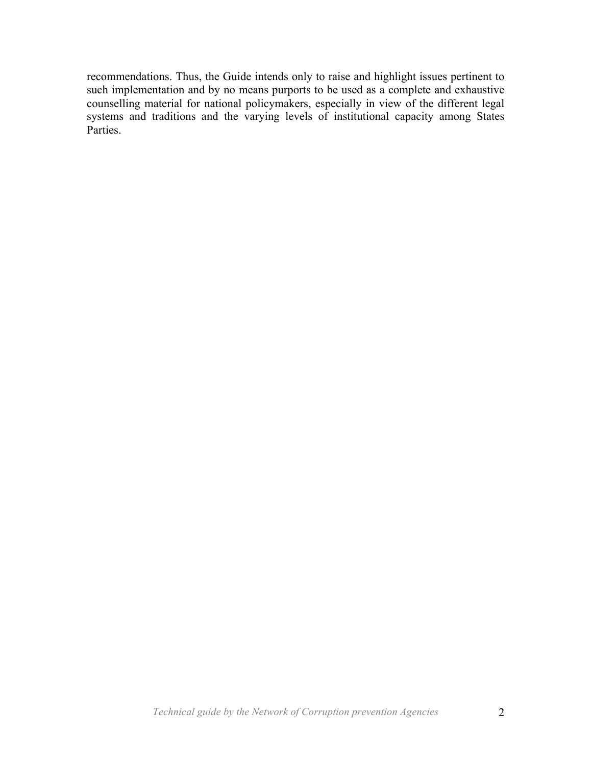recommendations. Thus, the Guide intends only to raise and highlight issues pertinent to such implementation and by no means purports to be used as a complete and exhaustive counselling material for national policymakers, especially in view of the different legal systems and traditions and the varying levels of institutional capacity among States Parties.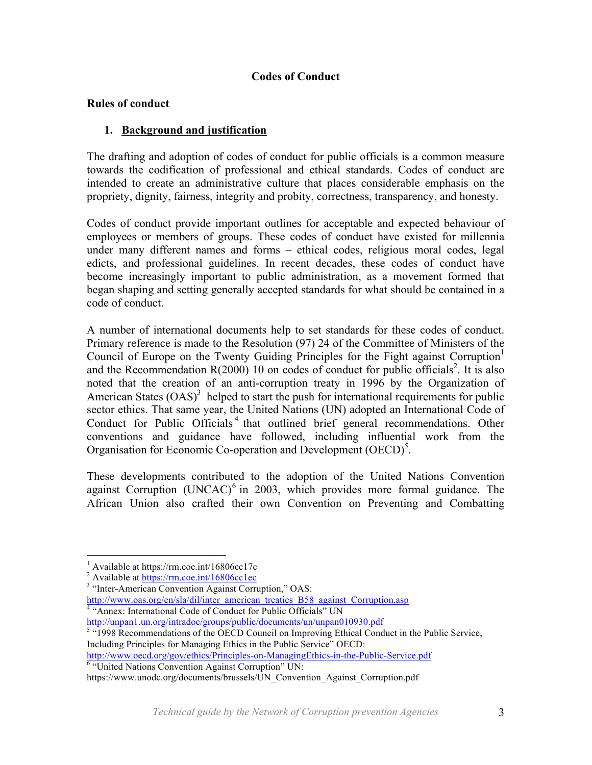## **Codes of Conduct**

### **Rules of conduct**

## **1. Background and justification**

The drafting and adoption of codes of conduct for public officials is a common measure towards the codification of professional and ethical standards. Codes of conduct are intended to create an administrative culture that places considerable emphasis on the propriety, dignity, fairness, integrity and probity, correctness, transparency, and honesty.

Codes of conduct provide important outlines for acceptable and expected behaviour of employees or members of groups. These codes of conduct have existed for millennia under many different names and forms – ethical codes, religious moral codes, legal edicts, and professional guidelines. In recent decades, these codes of conduct have become increasingly important to public administration, as a movement formed that began shaping and setting generally accepted standards for what should be contained in a code of conduct.

A number of international documents help to set standards for these codes of conduct. Primary reference is made to the Resolution (97) 24 of the Committee of Ministers of the Council of Europe on the Twenty Guiding Principles for the Fight against Corruption<sup>1</sup> and the Recommendation  $R(2000)$  10 on codes of conduct for public officials<sup>2</sup>. It is also noted that the creation of an anti-corruption treaty in 1996 by the Organization of American States  $(OAS)^3$  helped to start the push for international requirements for public sector ethics. That same year, the United Nations (UN) adopted an International Code of Conduct for Public Officials<sup>4</sup> that outlined brief general recommendations. Other conventions and guidance have followed, including influential work from the Organisation for Economic Co-operation and Development (OECD)<sup>5</sup>.

These developments contributed to the adoption of the United Nations Convention against Corruption (UNCAC) $6$  in 2003, which provides more formal guidance. The African Union also crafted their own Convention on Preventing and Combatting

http://www.oecd.org/gov/ethics/Principles-on-ManagingEthics-in-the-Public-Service.pdf 6 "United Nations Convention Against Corruption" UN:

<sup>&</sup>lt;sup>1</sup> Available at https://rm.coe.int/16806cc17c<sup>2</sup> Available at  $\frac{https://rm.coe.int/16806c1ec}{https://rm.coe.int/16806c1ec}$ 

<sup>&</sup>lt;sup>3</sup> "Inter-American Convention Against Corruption," OAS: http://www.oas.org/en/sla/dil/inter\_american\_treaties\_B58\_against\_Corruption.asp 4 "Annex: International Code of Conduct for Public Officials" UN

http://unpan1.un.org/intradoc/groups/public/documents/un/unpan010930.pdf

 $\frac{1}{5}$  "1998 Recommendations of the OECD Council on Improving Ethical Conduct in the Public Service, Including Principles for Managing Ethics in the Public Service" OECD:

https://www.unodc.org/documents/brussels/UN\_Convention\_Against\_Corruption.pdf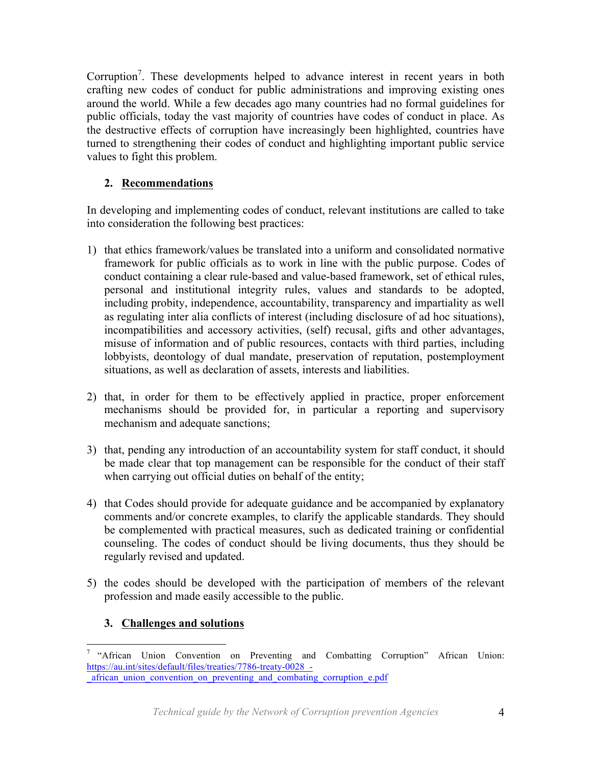Corruption<sup>7</sup>. These developments helped to advance interest in recent years in both crafting new codes of conduct for public administrations and improving existing ones around the world. While a few decades ago many countries had no formal guidelines for public officials, today the vast majority of countries have codes of conduct in place. As the destructive effects of corruption have increasingly been highlighted, countries have turned to strengthening their codes of conduct and highlighting important public service values to fight this problem.

# **2. Recommendations**

In developing and implementing codes of conduct, relevant institutions are called to take into consideration the following best practices:

- 1) that ethics framework/values be translated into a uniform and consolidated normative framework for public officials as to work in line with the public purpose. Codes of conduct containing a clear rule-based and value-based framework, set of ethical rules, personal and institutional integrity rules, values and standards to be adopted, including probity, independence, accountability, transparency and impartiality as well as regulating inter alia conflicts of interest (including disclosure of ad hoc situations), incompatibilities and accessory activities, (self) recusal, gifts and other advantages, misuse of information and of public resources, contacts with third parties, including lobbyists, deontology of dual mandate, preservation of reputation, postemployment situations, as well as declaration of assets, interests and liabilities.
- 2) that, in order for them to be effectively applied in practice, proper enforcement mechanisms should be provided for, in particular a reporting and supervisory mechanism and adequate sanctions;
- 3) that, pending any introduction of an accountability system for staff conduct, it should be made clear that top management can be responsible for the conduct of their staff when carrying out official duties on behalf of the entity;
- 4) that Codes should provide for adequate guidance and be accompanied by explanatory comments and/or concrete examples, to clarify the applicable standards. They should be complemented with practical measures, such as dedicated training or confidential counseling. The codes of conduct should be living documents, thus they should be regularly revised and updated.
- 5) the codes should be developed with the participation of members of the relevant profession and made easily accessible to the public.

# **3. Challenges and solutions**

 <sup>7</sup> "African Union Convention on Preventing and Combatting Corruption" African Union: https://au.int/sites/default/files/treaties/7786-treaty-0028\_- \_african\_union\_convention\_on\_preventing\_and\_combating\_corruption\_e.pdf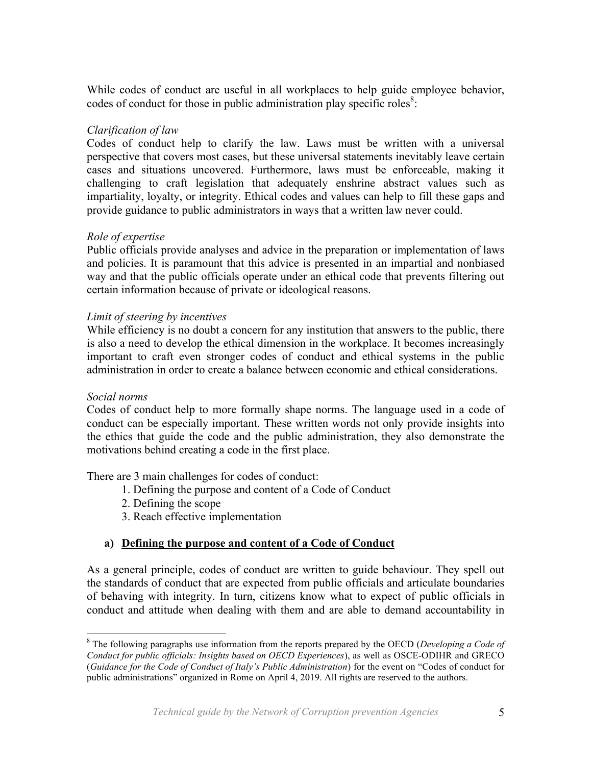While codes of conduct are useful in all workplaces to help guide employee behavior, codes of conduct for those in public administration play specific roles<sup>8</sup>:

## *Clarification of law*

Codes of conduct help to clarify the law. Laws must be written with a universal perspective that covers most cases, but these universal statements inevitably leave certain cases and situations uncovered. Furthermore, laws must be enforceable, making it challenging to craft legislation that adequately enshrine abstract values such as impartiality, loyalty, or integrity. Ethical codes and values can help to fill these gaps and provide guidance to public administrators in ways that a written law never could.

## *Role of expertise*

Public officials provide analyses and advice in the preparation or implementation of laws and policies. It is paramount that this advice is presented in an impartial and nonbiased way and that the public officials operate under an ethical code that prevents filtering out certain information because of private or ideological reasons.

## *Limit of steering by incentives*

While efficiency is no doubt a concern for any institution that answers to the public, there is also a need to develop the ethical dimension in the workplace. It becomes increasingly important to craft even stronger codes of conduct and ethical systems in the public administration in order to create a balance between economic and ethical considerations.

## *Social norms*

Codes of conduct help to more formally shape norms. The language used in a code of conduct can be especially important. These written words not only provide insights into the ethics that guide the code and the public administration, they also demonstrate the motivations behind creating a code in the first place.

There are 3 main challenges for codes of conduct:

- 1. Defining the purpose and content of a Code of Conduct
- 2. Defining the scope
- 3. Reach effective implementation

## **a) Defining the purpose and content of a Code of Conduct**

As a general principle, codes of conduct are written to guide behaviour. They spell out the standards of conduct that are expected from public officials and articulate boundaries of behaving with integrity. In turn, citizens know what to expect of public officials in conduct and attitude when dealing with them and are able to demand accountability in

 <sup>8</sup> The following paragraphs use information from the reports prepared by the OECD (*Developing a Code of Conduct for public officials: Insights based on OECD Experiences*), as well as OSCE-ODIHR and GRECO (*Guidance for the Code of Conduct of Italy's Public Administration*) for the event on "Codes of conduct for public administrations" organized in Rome on April 4, 2019. All rights are reserved to the authors.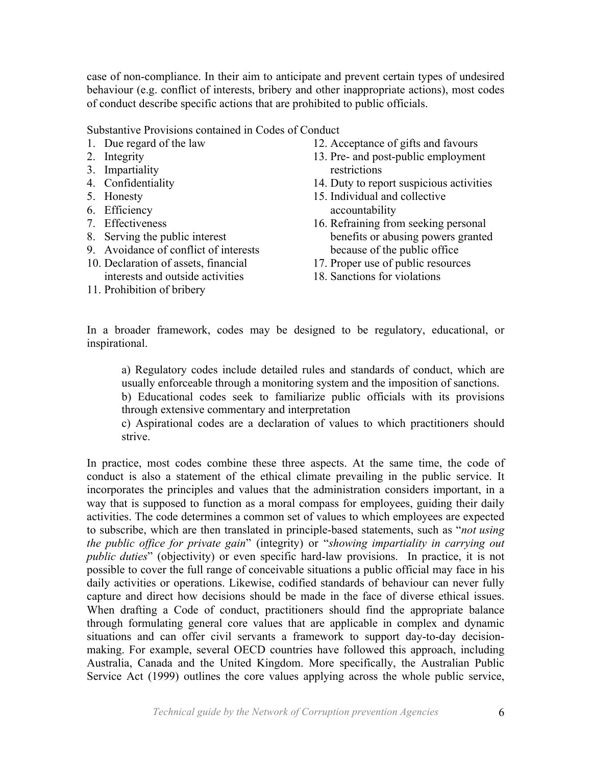case of non-compliance. In their aim to anticipate and prevent certain types of undesired behaviour (e.g. conflict of interests, bribery and other inappropriate actions), most codes of conduct describe specific actions that are prohibited to public officials.

Substantive Provisions contained in Codes of Conduct

- 1. Due regard of the law
- 2. Integrity
- 3. Impartiality
- 4. Confidentiality
- 5. Honesty
- 6. Efficiency
- 7. Effectiveness
- 8. Serving the public interest
- 9. Avoidance of conflict of interests
- 10. Declaration of assets, financial interests and outside activities
- 11. Prohibition of bribery
- 12. Acceptance of gifts and favours
- 13. Pre- and post-public employment restrictions
- 14. Duty to report suspicious activities
- 15. Individual and collective accountability
- 16. Refraining from seeking personal benefits or abusing powers granted because of the public office
- 17. Proper use of public resources
- 18. Sanctions for violations

In a broader framework, codes may be designed to be regulatory, educational, or inspirational.

a) Regulatory codes include detailed rules and standards of conduct, which are usually enforceable through a monitoring system and the imposition of sanctions.

b) Educational codes seek to familiarize public officials with its provisions through extensive commentary and interpretation

c) Aspirational codes are a declaration of values to which practitioners should strive.

In practice, most codes combine these three aspects. At the same time, the code of conduct is also a statement of the ethical climate prevailing in the public service. It incorporates the principles and values that the administration considers important, in a way that is supposed to function as a moral compass for employees, guiding their daily activities. The code determines a common set of values to which employees are expected to subscribe, which are then translated in principle-based statements, such as "*not using the public office for private gain*" (integrity) or "*showing impartiality in carrying out public duties*" (objectivity) or even specific hard-law provisions. In practice, it is not possible to cover the full range of conceivable situations a public official may face in his daily activities or operations. Likewise, codified standards of behaviour can never fully capture and direct how decisions should be made in the face of diverse ethical issues. When drafting a Code of conduct, practitioners should find the appropriate balance through formulating general core values that are applicable in complex and dynamic situations and can offer civil servants a framework to support day-to-day decisionmaking. For example, several OECD countries have followed this approach, including Australia, Canada and the United Kingdom. More specifically, the Australian Public Service Act (1999) outlines the core values applying across the whole public service,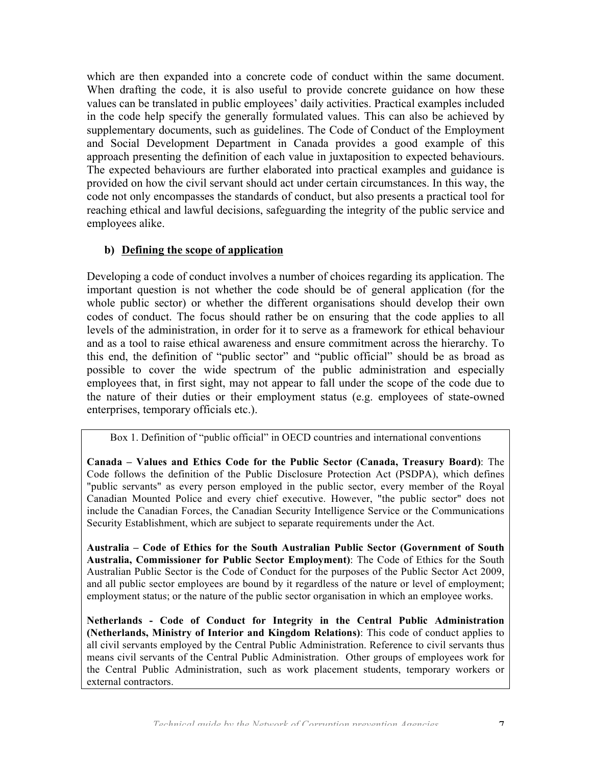which are then expanded into a concrete code of conduct within the same document. When drafting the code, it is also useful to provide concrete guidance on how these values can be translated in public employees' daily activities. Practical examples included in the code help specify the generally formulated values. This can also be achieved by supplementary documents, such as guidelines. The Code of Conduct of the Employment and Social Development Department in Canada provides a good example of this approach presenting the definition of each value in juxtaposition to expected behaviours. The expected behaviours are further elaborated into practical examples and guidance is provided on how the civil servant should act under certain circumstances. In this way, the code not only encompasses the standards of conduct, but also presents a practical tool for reaching ethical and lawful decisions, safeguarding the integrity of the public service and employees alike.

## **b) Defining the scope of application**

Developing a code of conduct involves a number of choices regarding its application. The important question is not whether the code should be of general application (for the whole public sector) or whether the different organisations should develop their own codes of conduct. The focus should rather be on ensuring that the code applies to all levels of the administration, in order for it to serve as a framework for ethical behaviour and as a tool to raise ethical awareness and ensure commitment across the hierarchy. To this end, the definition of "public sector" and "public official" should be as broad as possible to cover the wide spectrum of the public administration and especially employees that, in first sight, may not appear to fall under the scope of the code due to the nature of their duties or their employment status (e.g. employees of state-owned enterprises, temporary officials etc.).

Box 1. Definition of "public official" in OECD countries and international conventions

**Canada – Values and Ethics Code for the Public Sector (Canada, Treasury Board)**: The Code follows the definition of the Public Disclosure Protection Act (PSDPA), which defines "public servants" as every person employed in the public sector, every member of the Royal Canadian Mounted Police and every chief executive. However, "the public sector" does not include the Canadian Forces, the Canadian Security Intelligence Service or the Communications Security Establishment, which are subject to separate requirements under the Act.

**Australia – Code of Ethics for the South Australian Public Sector (Government of South Australia, Commissioner for Public Sector Employment)**: The Code of Ethics for the South Australian Public Sector is the Code of Conduct for the purposes of the Public Sector Act 2009, and all public sector employees are bound by it regardless of the nature or level of employment; employment status; or the nature of the public sector organisation in which an employee works.

**Netherlands - Code of Conduct for Integrity in the Central Public Administration (Netherlands, Ministry of Interior and Kingdom Relations)**: This code of conduct applies to all civil servants employed by the Central Public Administration. Reference to civil servants thus means civil servants of the Central Public Administration. Other groups of employees work for the Central Public Administration, such as work placement students, temporary workers or external contractors.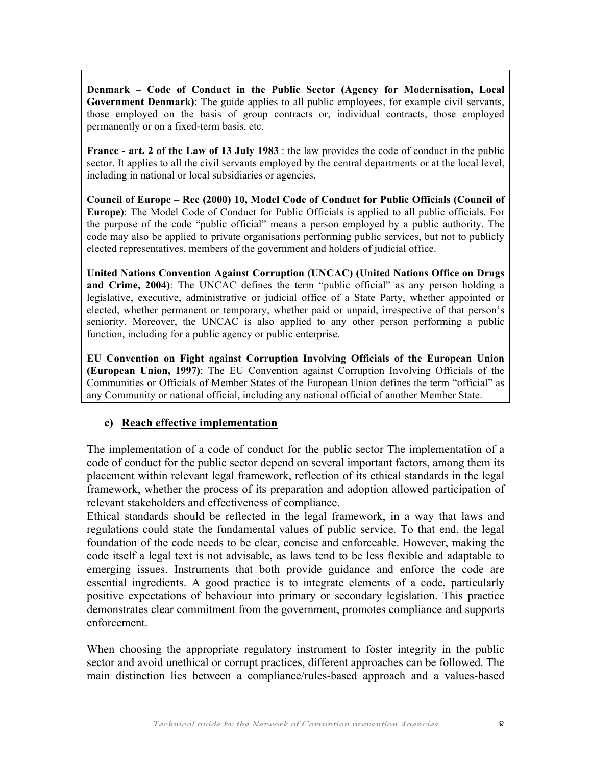**Denmark – Code of Conduct in the Public Sector (Agency for Modernisation, Local Government Denmark)**: The guide applies to all public employees, for example civil servants, those employed on the basis of group contracts or, individual contracts, those employed permanently or on a fixed-term basis, etc.

**France - art. 2 of the Law of 13 July 1983** : the law provides the code of conduct in the public sector. It applies to all the civil servants employed by the central departments or at the local level, including in national or local subsidiaries or agencies.

**Council of Europe – Rec (2000) 10, Model Code of Conduct for Public Officials (Council of Europe)**: The Model Code of Conduct for Public Officials is applied to all public officials. For the purpose of the code "public official" means a person employed by a public authority. The code may also be applied to private organisations performing public services, but not to publicly elected representatives, members of the government and holders of judicial office.

**United Nations Convention Against Corruption (UNCAC) (United Nations Office on Drugs and Crime, 2004)**: The UNCAC defines the term "public official" as any person holding a legislative, executive, administrative or judicial office of a State Party, whether appointed or elected, whether permanent or temporary, whether paid or unpaid, irrespective of that person's seniority. Moreover, the UNCAC is also applied to any other person performing a public function, including for a public agency or public enterprise.

**EU Convention on Fight against Corruption Involving Officials of the European Union (European Union, 1997)**: The EU Convention against Corruption Involving Officials of the Communities or Officials of Member States of the European Union defines the term "official" as any Community or national official, including any national official of another Member State.

## **c) Reach effective implementation**

The implementation of a code of conduct for the public sector The implementation of a code of conduct for the public sector depend on several important factors, among them its placement within relevant legal framework, reflection of its ethical standards in the legal framework, whether the process of its preparation and adoption allowed participation of relevant stakeholders and effectiveness of compliance.

Ethical standards should be reflected in the legal framework, in a way that laws and regulations could state the fundamental values of public service. To that end, the legal foundation of the code needs to be clear, concise and enforceable. However, making the code itself a legal text is not advisable, as laws tend to be less flexible and adaptable to emerging issues. Instruments that both provide guidance and enforce the code are essential ingredients. A good practice is to integrate elements of a code, particularly positive expectations of behaviour into primary or secondary legislation. This practice demonstrates clear commitment from the government, promotes compliance and supports enforcement.

When choosing the appropriate regulatory instrument to foster integrity in the public sector and avoid unethical or corrupt practices, different approaches can be followed. The main distinction lies between a compliance/rules-based approach and a values-based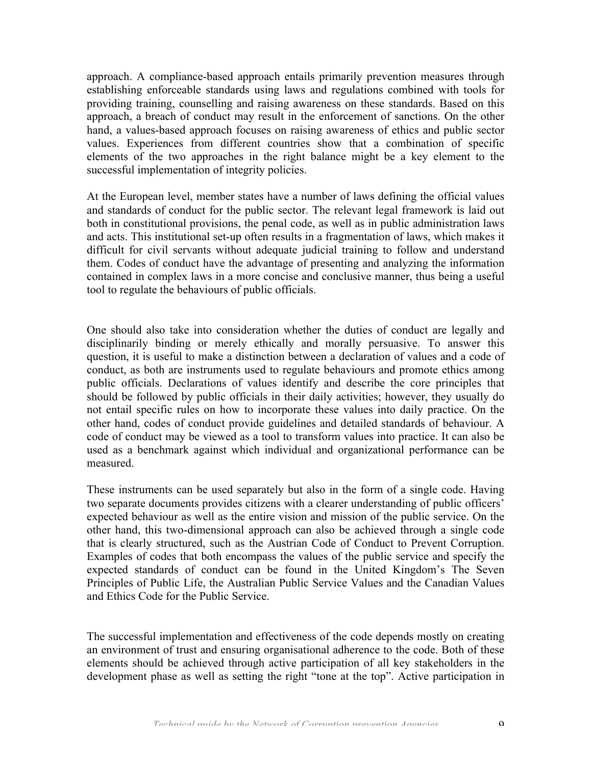approach. A compliance-based approach entails primarily prevention measures through establishing enforceable standards using laws and regulations combined with tools for providing training, counselling and raising awareness on these standards. Based on this approach, a breach of conduct may result in the enforcement of sanctions. On the other hand, a values-based approach focuses on raising awareness of ethics and public sector values. Experiences from different countries show that a combination of specific elements of the two approaches in the right balance might be a key element to the successful implementation of integrity policies.

At the European level, member states have a number of laws defining the official values and standards of conduct for the public sector. The relevant legal framework is laid out both in constitutional provisions, the penal code, as well as in public administration laws and acts. This institutional set-up often results in a fragmentation of laws, which makes it difficult for civil servants without adequate judicial training to follow and understand them. Codes of conduct have the advantage of presenting and analyzing the information contained in complex laws in a more concise and conclusive manner, thus being a useful tool to regulate the behaviours of public officials.

One should also take into consideration whether the duties of conduct are legally and disciplinarily binding or merely ethically and morally persuasive. To answer this question, it is useful to make a distinction between a declaration of values and a code of conduct, as both are instruments used to regulate behaviours and promote ethics among public officials. Declarations of values identify and describe the core principles that should be followed by public officials in their daily activities; however, they usually do not entail specific rules on how to incorporate these values into daily practice. On the other hand, codes of conduct provide guidelines and detailed standards of behaviour. A code of conduct may be viewed as a tool to transform values into practice. It can also be used as a benchmark against which individual and organizational performance can be measured.

These instruments can be used separately but also in the form of a single code. Having two separate documents provides citizens with a clearer understanding of public officers' expected behaviour as well as the entire vision and mission of the public service. On the other hand, this two-dimensional approach can also be achieved through a single code that is clearly structured, such as the Austrian Code of Conduct to Prevent Corruption. Examples of codes that both encompass the values of the public service and specify the expected standards of conduct can be found in the United Kingdom's The Seven Principles of Public Life, the Australian Public Service Values and the Canadian Values and Ethics Code for the Public Service.

The successful implementation and effectiveness of the code depends mostly on creating an environment of trust and ensuring organisational adherence to the code. Both of these elements should be achieved through active participation of all key stakeholders in the development phase as well as setting the right "tone at the top". Active participation in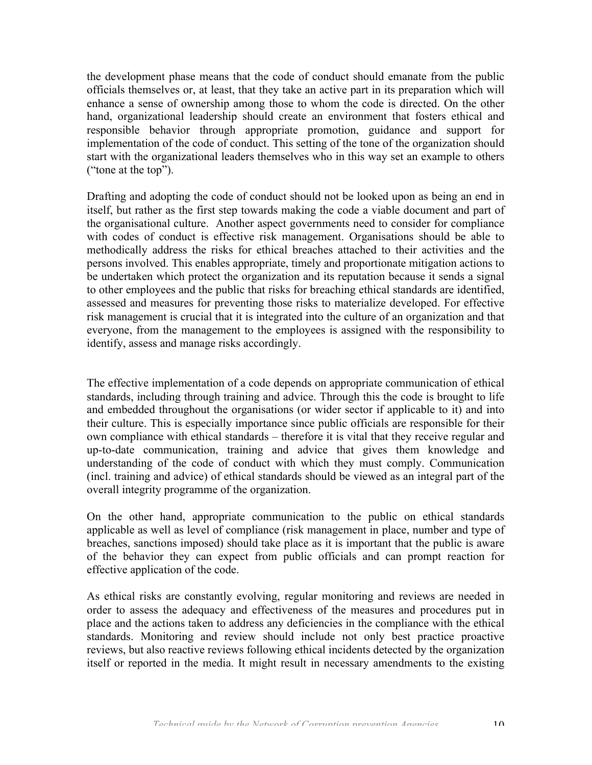the development phase means that the code of conduct should emanate from the public officials themselves or, at least, that they take an active part in its preparation which will enhance a sense of ownership among those to whom the code is directed. On the other hand, organizational leadership should create an environment that fosters ethical and responsible behavior through appropriate promotion, guidance and support for implementation of the code of conduct. This setting of the tone of the organization should start with the organizational leaders themselves who in this way set an example to others ("tone at the top").

Drafting and adopting the code of conduct should not be looked upon as being an end in itself, but rather as the first step towards making the code a viable document and part of the organisational culture. Another aspect governments need to consider for compliance with codes of conduct is effective risk management. Organisations should be able to methodically address the risks for ethical breaches attached to their activities and the persons involved. This enables appropriate, timely and proportionate mitigation actions to be undertaken which protect the organization and its reputation because it sends a signal to other employees and the public that risks for breaching ethical standards are identified, assessed and measures for preventing those risks to materialize developed. For effective risk management is crucial that it is integrated into the culture of an organization and that everyone, from the management to the employees is assigned with the responsibility to identify, assess and manage risks accordingly.

The effective implementation of a code depends on appropriate communication of ethical standards, including through training and advice. Through this the code is brought to life and embedded throughout the organisations (or wider sector if applicable to it) and into their culture. This is especially importance since public officials are responsible for their own compliance with ethical standards – therefore it is vital that they receive regular and up-to-date communication, training and advice that gives them knowledge and understanding of the code of conduct with which they must comply. Communication (incl. training and advice) of ethical standards should be viewed as an integral part of the overall integrity programme of the organization.

On the other hand, appropriate communication to the public on ethical standards applicable as well as level of compliance (risk management in place, number and type of breaches, sanctions imposed) should take place as it is important that the public is aware of the behavior they can expect from public officials and can prompt reaction for effective application of the code.

As ethical risks are constantly evolving, regular monitoring and reviews are needed in order to assess the adequacy and effectiveness of the measures and procedures put in place and the actions taken to address any deficiencies in the compliance with the ethical standards. Monitoring and review should include not only best practice proactive reviews, but also reactive reviews following ethical incidents detected by the organization itself or reported in the media. It might result in necessary amendments to the existing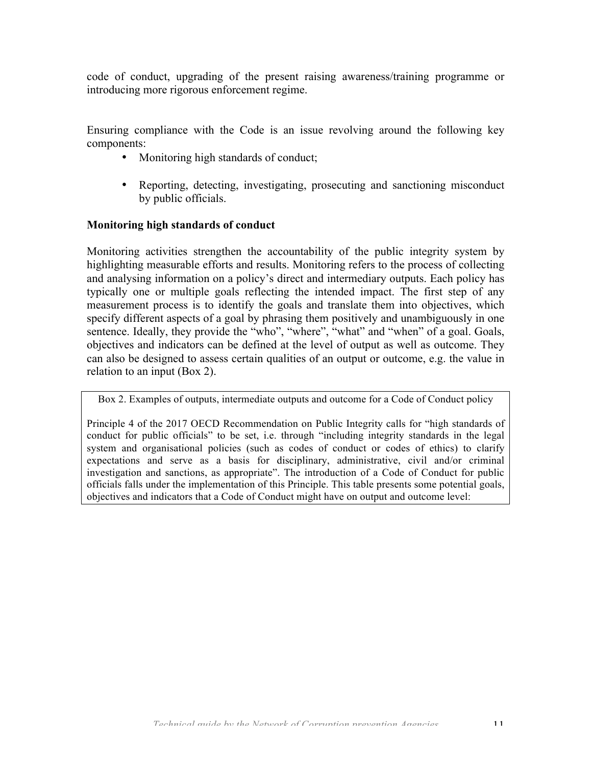code of conduct, upgrading of the present raising awareness/training programme or introducing more rigorous enforcement regime.

Ensuring compliance with the Code is an issue revolving around the following key components:

- Monitoring high standards of conduct;
- Reporting, detecting, investigating, prosecuting and sanctioning misconduct by public officials.

#### **Monitoring high standards of conduct**

Monitoring activities strengthen the accountability of the public integrity system by highlighting measurable efforts and results. Monitoring refers to the process of collecting and analysing information on a policy's direct and intermediary outputs. Each policy has typically one or multiple goals reflecting the intended impact. The first step of any measurement process is to identify the goals and translate them into objectives, which specify different aspects of a goal by phrasing them positively and unambiguously in one sentence. Ideally, they provide the "who", "where", "what" and "when" of a goal. Goals, objectives and indicators can be defined at the level of output as well as outcome. They can also be designed to assess certain qualities of an output or outcome, e.g. the value in relation to an input (Box 2).

Box 2. Examples of outputs, intermediate outputs and outcome for a Code of Conduct policy

Principle 4 of the 2017 OECD Recommendation on Public Integrity calls for "high standards of conduct for public officials" to be set, i.e. through "including integrity standards in the legal system and organisational policies (such as codes of conduct or codes of ethics) to clarify expectations and serve as a basis for disciplinary, administrative, civil and/or criminal investigation and sanctions, as appropriate". The introduction of a Code of Conduct for public officials falls under the implementation of this Principle. This table presents some potential goals, objectives and indicators that a Code of Conduct might have on output and outcome level: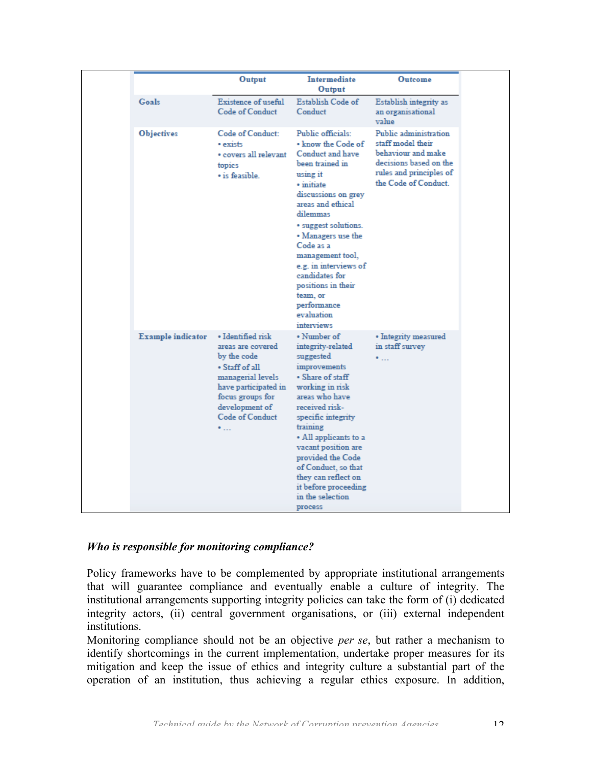| Output                                                                                                                                                                                            | <b>Intermediate</b><br>Output                                                                                                                                                                                                                                                                                                                                                  | Outcome                                                                                                                                       |
|---------------------------------------------------------------------------------------------------------------------------------------------------------------------------------------------------|--------------------------------------------------------------------------------------------------------------------------------------------------------------------------------------------------------------------------------------------------------------------------------------------------------------------------------------------------------------------------------|-----------------------------------------------------------------------------------------------------------------------------------------------|
| <b>Existence of useful</b><br>Code of Conduct                                                                                                                                                     | Establish Code of<br>Conduct                                                                                                                                                                                                                                                                                                                                                   | Establish integrity as<br>an organisational<br>value                                                                                          |
| Code of Conduct:<br>· exists<br>• covers all relevant<br>topics<br>· is feasible.                                                                                                                 | Public officials:<br>• know the Code of<br>Conduct and have<br>been trained in<br>using it<br>· initiate<br>discussions on grey<br>areas and ethical<br>dilemmas<br>· suggest solutions.<br>• Managers use the<br>Code as a<br>management tool,<br>e.g. in interviews of<br>candidates for<br>positions in their<br>team, or<br>performance<br>evaluation<br><i>interviews</i> | Public administration<br>staff model their<br>behaviour and make<br>decisions based on the<br>rules and principles of<br>the Code of Conduct. |
| · Identified risk<br>areas are covered<br>by the code<br>• Staff of all<br>managerial levels<br>have participated in<br>focus groups for<br>development of<br><b>Code of Conduct</b><br>$\bullet$ | • Number of<br>integrity-related<br>suggested<br>improvements<br>• Share of staff<br>working in risk<br>areas who have<br>received risk-<br>specific integrity<br>training<br>• All applicants to a<br>vacant position are<br>provided the Code<br>of Conduct, so that<br>they can reflect on                                                                                  | • Integrity measured<br>in staff survey<br>                                                                                                   |
|                                                                                                                                                                                                   |                                                                                                                                                                                                                                                                                                                                                                                |                                                                                                                                               |

## *Who is responsible for monitoring compliance?*

Policy frameworks have to be complemented by appropriate institutional arrangements that will guarantee compliance and eventually enable a culture of integrity. The institutional arrangements supporting integrity policies can take the form of (i) dedicated integrity actors, (ii) central government organisations, or (iii) external independent institutions.

Monitoring compliance should not be an objective *per se*, but rather a mechanism to identify shortcomings in the current implementation, undertake proper measures for its mitigation and keep the issue of ethics and integrity culture a substantial part of the operation of an institution, thus achieving a regular ethics exposure. In addition,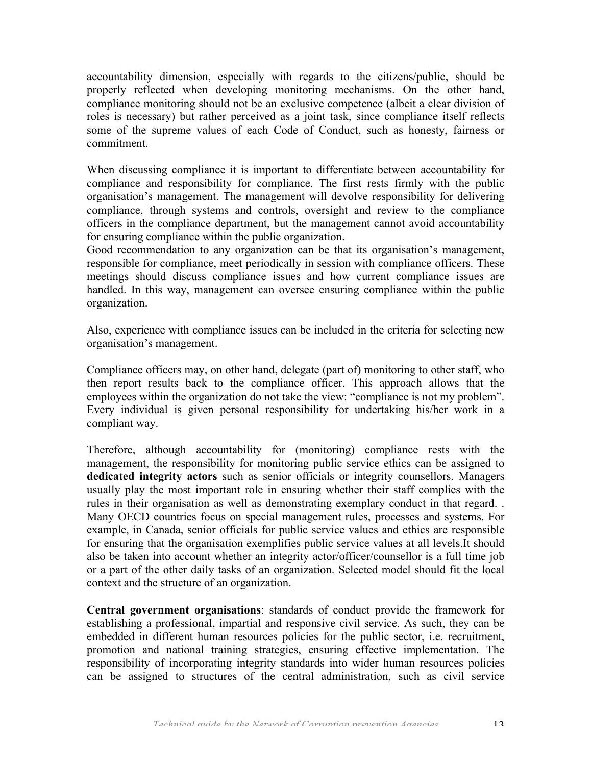accountability dimension, especially with regards to the citizens/public, should be properly reflected when developing monitoring mechanisms. On the other hand, compliance monitoring should not be an exclusive competence (albeit a clear division of roles is necessary) but rather perceived as a joint task, since compliance itself reflects some of the supreme values of each Code of Conduct, such as honesty, fairness or commitment.

When discussing compliance it is important to differentiate between accountability for compliance and responsibility for compliance. The first rests firmly with the public organisation's management. The management will devolve responsibility for delivering compliance, through systems and controls, oversight and review to the compliance officers in the compliance department, but the management cannot avoid accountability for ensuring compliance within the public organization.

Good recommendation to any organization can be that its organisation's management, responsible for compliance, meet periodically in session with compliance officers. These meetings should discuss compliance issues and how current compliance issues are handled. In this way, management can oversee ensuring compliance within the public organization.

Also, experience with compliance issues can be included in the criteria for selecting new organisation's management.

Compliance officers may, on other hand, delegate (part of) monitoring to other staff, who then report results back to the compliance officer. This approach allows that the employees within the organization do not take the view: "compliance is not my problem". Every individual is given personal responsibility for undertaking his/her work in a compliant way.

Therefore, although accountability for (monitoring) compliance rests with the management, the responsibility for monitoring public service ethics can be assigned to **dedicated integrity actors** such as senior officials or integrity counsellors. Managers usually play the most important role in ensuring whether their staff complies with the rules in their organisation as well as demonstrating exemplary conduct in that regard. . Many OECD countries focus on special management rules, processes and systems. For example, in Canada, senior officials for public service values and ethics are responsible for ensuring that the organisation exemplifies public service values at all levels.It should also be taken into account whether an integrity actor/officer/counsellor is a full time job or a part of the other daily tasks of an organization. Selected model should fit the local context and the structure of an organization.

**Central government organisations**: standards of conduct provide the framework for establishing a professional, impartial and responsive civil service. As such, they can be embedded in different human resources policies for the public sector, i.e. recruitment, promotion and national training strategies, ensuring effective implementation. The responsibility of incorporating integrity standards into wider human resources policies can be assigned to structures of the central administration, such as civil service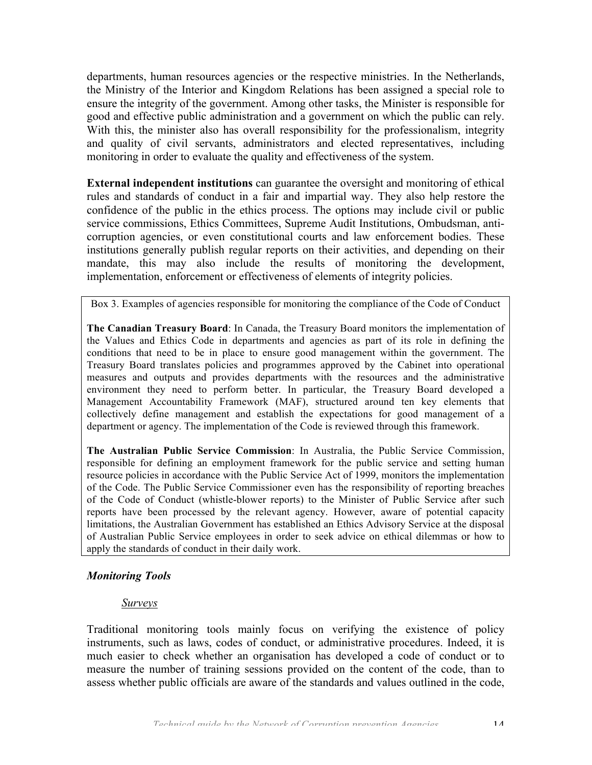departments, human resources agencies or the respective ministries. In the Netherlands, the Ministry of the Interior and Kingdom Relations has been assigned a special role to ensure the integrity of the government. Among other tasks, the Minister is responsible for good and effective public administration and a government on which the public can rely. With this, the minister also has overall responsibility for the professionalism, integrity and quality of civil servants, administrators and elected representatives, including monitoring in order to evaluate the quality and effectiveness of the system.

**External independent institutions** can guarantee the oversight and monitoring of ethical rules and standards of conduct in a fair and impartial way. They also help restore the confidence of the public in the ethics process. The options may include civil or public service commissions, Ethics Committees, Supreme Audit Institutions, Ombudsman, anticorruption agencies, or even constitutional courts and law enforcement bodies. These institutions generally publish regular reports on their activities, and depending on their mandate, this may also include the results of monitoring the development, implementation, enforcement or effectiveness of elements of integrity policies.

Box 3. Examples of agencies responsible for monitoring the compliance of the Code of Conduct

**The Canadian Treasury Board**: In Canada, the Treasury Board monitors the implementation of the Values and Ethics Code in departments and agencies as part of its role in defining the conditions that need to be in place to ensure good management within the government. The Treasury Board translates policies and programmes approved by the Cabinet into operational measures and outputs and provides departments with the resources and the administrative environment they need to perform better. In particular, the Treasury Board developed a Management Accountability Framework (MAF), structured around ten key elements that collectively define management and establish the expectations for good management of a department or agency. The implementation of the Code is reviewed through this framework.

**The Australian Public Service Commission**: In Australia, the Public Service Commission, responsible for defining an employment framework for the public service and setting human resource policies in accordance with the Public Service Act of 1999, monitors the implementation of the Code. The Public Service Commissioner even has the responsibility of reporting breaches of the Code of Conduct (whistle-blower reports) to the Minister of Public Service after such reports have been processed by the relevant agency. However, aware of potential capacity limitations, the Australian Government has established an Ethics Advisory Service at the disposal of Australian Public Service employees in order to seek advice on ethical dilemmas or how to apply the standards of conduct in their daily work.

#### *Monitoring Tools*

#### *Surveys*

Traditional monitoring tools mainly focus on verifying the existence of policy instruments, such as laws, codes of conduct, or administrative procedures. Indeed, it is much easier to check whether an organisation has developed a code of conduct or to measure the number of training sessions provided on the content of the code, than to assess whether public officials are aware of the standards and values outlined in the code,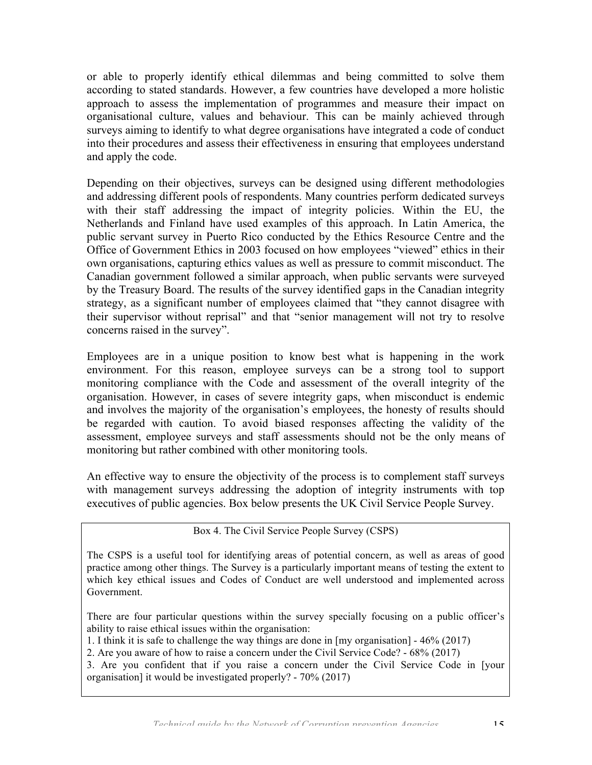or able to properly identify ethical dilemmas and being committed to solve them according to stated standards. However, a few countries have developed a more holistic approach to assess the implementation of programmes and measure their impact on organisational culture, values and behaviour. This can be mainly achieved through surveys aiming to identify to what degree organisations have integrated a code of conduct into their procedures and assess their effectiveness in ensuring that employees understand and apply the code.

Depending on their objectives, surveys can be designed using different methodologies and addressing different pools of respondents. Many countries perform dedicated surveys with their staff addressing the impact of integrity policies. Within the EU, the Netherlands and Finland have used examples of this approach. In Latin America, the public servant survey in Puerto Rico conducted by the Ethics Resource Centre and the Office of Government Ethics in 2003 focused on how employees "viewed" ethics in their own organisations, capturing ethics values as well as pressure to commit misconduct. The Canadian government followed a similar approach, when public servants were surveyed by the Treasury Board. The results of the survey identified gaps in the Canadian integrity strategy, as a significant number of employees claimed that "they cannot disagree with their supervisor without reprisal" and that "senior management will not try to resolve concerns raised in the survey".

Employees are in a unique position to know best what is happening in the work environment. For this reason, employee surveys can be a strong tool to support monitoring compliance with the Code and assessment of the overall integrity of the organisation. However, in cases of severe integrity gaps, when misconduct is endemic and involves the majority of the organisation's employees, the honesty of results should be regarded with caution. To avoid biased responses affecting the validity of the assessment, employee surveys and staff assessments should not be the only means of monitoring but rather combined with other monitoring tools.

An effective way to ensure the objectivity of the process is to complement staff surveys with management surveys addressing the adoption of integrity instruments with top executives of public agencies. Box below presents the UK Civil Service People Survey.

Box 4. The Civil Service People Survey (CSPS)

The CSPS is a useful tool for identifying areas of potential concern, as well as areas of good practice among other things. The Survey is a particularly important means of testing the extent to which key ethical issues and Codes of Conduct are well understood and implemented across Government.

There are four particular questions within the survey specially focusing on a public officer's ability to raise ethical issues within the organisation:

1. I think it is safe to challenge the way things are done in [my organisation] - 46% (2017)

2. Are you aware of how to raise a concern under the Civil Service Code? - 68% (2017)

3. Are you confident that if you raise a concern under the Civil Service Code in [your organisation] it would be investigated properly? - 70% (2017)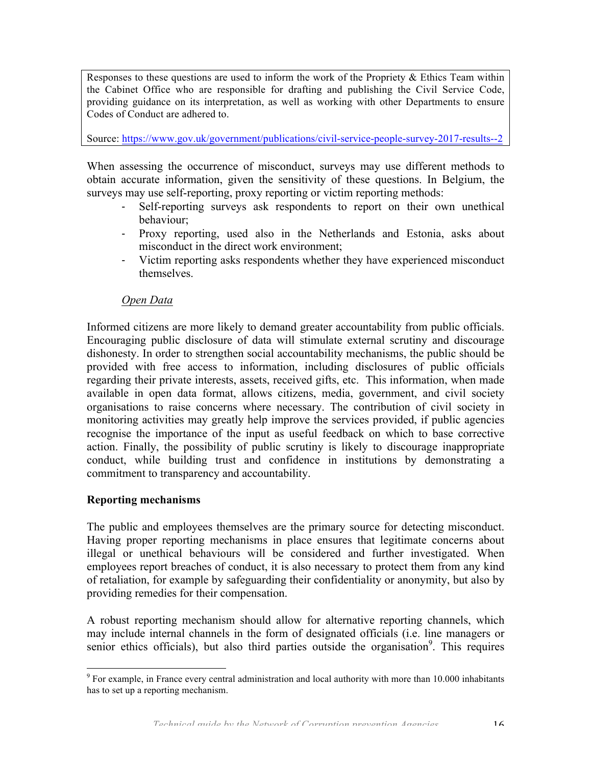Responses to these questions are used to inform the work of the Propriety  $\&$  Ethics Team within the Cabinet Office who are responsible for drafting and publishing the Civil Service Code, providing guidance on its interpretation, as well as working with other Departments to ensure Codes of Conduct are adhered to.

Source: https://www.gov.uk/government/publications/civil-service-people-survey-2017-results--2

When assessing the occurrence of misconduct, surveys may use different methods to obtain accurate information, given the sensitivity of these questions. In Belgium, the surveys may use self-reporting, proxy reporting or victim reporting methods:

- Self-reporting surveys ask respondents to report on their own unethical behaviour;
- Proxy reporting, used also in the Netherlands and Estonia, asks about misconduct in the direct work environment;
- Victim reporting asks respondents whether they have experienced misconduct themselves.

#### *Open Data*

Informed citizens are more likely to demand greater accountability from public officials. Encouraging public disclosure of data will stimulate external scrutiny and discourage dishonesty. In order to strengthen social accountability mechanisms, the public should be provided with free access to information, including disclosures of public officials regarding their private interests, assets, received gifts, etc. This information, when made available in open data format, allows citizens, media, government, and civil society organisations to raise concerns where necessary. The contribution of civil society in monitoring activities may greatly help improve the services provided, if public agencies recognise the importance of the input as useful feedback on which to base corrective action. Finally, the possibility of public scrutiny is likely to discourage inappropriate conduct, while building trust and confidence in institutions by demonstrating a commitment to transparency and accountability.

#### **Reporting mechanisms**

The public and employees themselves are the primary source for detecting misconduct. Having proper reporting mechanisms in place ensures that legitimate concerns about illegal or unethical behaviours will be considered and further investigated. When employees report breaches of conduct, it is also necessary to protect them from any kind of retaliation, for example by safeguarding their confidentiality or anonymity, but also by providing remedies for their compensation.

A robust reporting mechanism should allow for alternative reporting channels, which may include internal channels in the form of designated officials (i.e. line managers or senior ethics officials), but also third parties outside the organisation<sup>9</sup>. This requires

<sup>&</sup>lt;sup>9</sup> For example, in France every central administration and local authority with more than 10.000 inhabitants has to set up a reporting mechanism.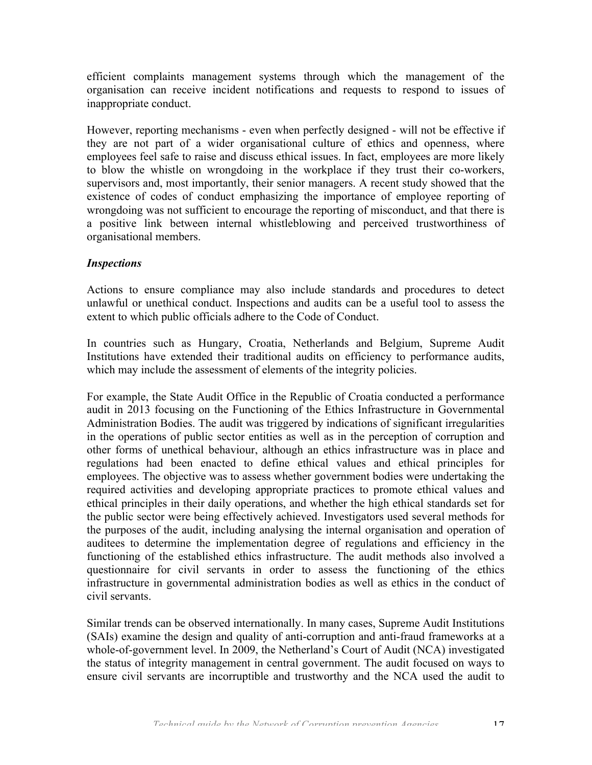efficient complaints management systems through which the management of the organisation can receive incident notifications and requests to respond to issues of inappropriate conduct.

However, reporting mechanisms - even when perfectly designed - will not be effective if they are not part of a wider organisational culture of ethics and openness, where employees feel safe to raise and discuss ethical issues. In fact, employees are more likely to blow the whistle on wrongdoing in the workplace if they trust their co-workers, supervisors and, most importantly, their senior managers. A recent study showed that the existence of codes of conduct emphasizing the importance of employee reporting of wrongdoing was not sufficient to encourage the reporting of misconduct, and that there is a positive link between internal whistleblowing and perceived trustworthiness of organisational members.

## *Inspections*

Actions to ensure compliance may also include standards and procedures to detect unlawful or unethical conduct. Inspections and audits can be a useful tool to assess the extent to which public officials adhere to the Code of Conduct.

In countries such as Hungary, Croatia, Netherlands and Belgium, Supreme Audit Institutions have extended their traditional audits on efficiency to performance audits, which may include the assessment of elements of the integrity policies.

For example, the State Audit Office in the Republic of Croatia conducted a performance audit in 2013 focusing on the Functioning of the Ethics Infrastructure in Governmental Administration Bodies. The audit was triggered by indications of significant irregularities in the operations of public sector entities as well as in the perception of corruption and other forms of unethical behaviour, although an ethics infrastructure was in place and regulations had been enacted to define ethical values and ethical principles for employees. The objective was to assess whether government bodies were undertaking the required activities and developing appropriate practices to promote ethical values and ethical principles in their daily operations, and whether the high ethical standards set for the public sector were being effectively achieved. Investigators used several methods for the purposes of the audit, including analysing the internal organisation and operation of auditees to determine the implementation degree of regulations and efficiency in the functioning of the established ethics infrastructure. The audit methods also involved a questionnaire for civil servants in order to assess the functioning of the ethics infrastructure in governmental administration bodies as well as ethics in the conduct of civil servants.

Similar trends can be observed internationally. In many cases, Supreme Audit Institutions (SAIs) examine the design and quality of anti-corruption and anti-fraud frameworks at a whole-of-government level. In 2009, the Netherland's Court of Audit (NCA) investigated the status of integrity management in central government. The audit focused on ways to ensure civil servants are incorruptible and trustworthy and the NCA used the audit to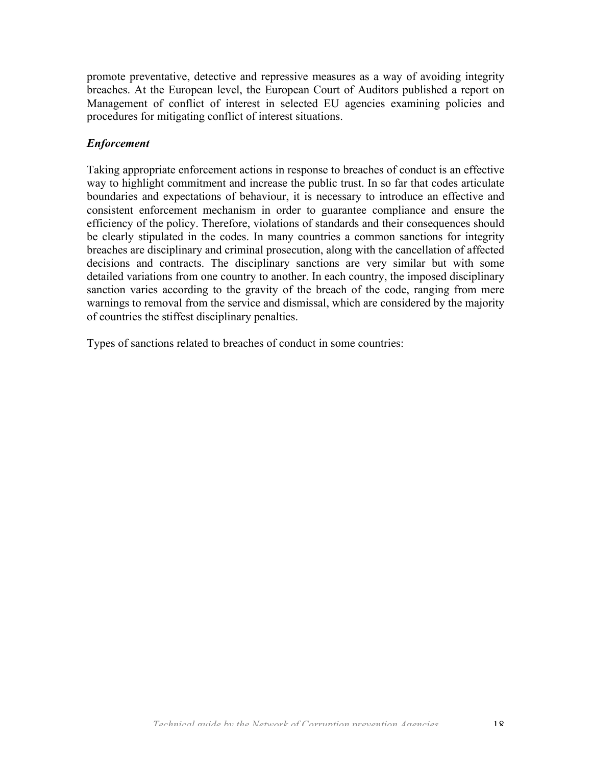promote preventative, detective and repressive measures as a way of avoiding integrity breaches. At the European level, the European Court of Auditors published a report on Management of conflict of interest in selected EU agencies examining policies and procedures for mitigating conflict of interest situations.

## *Enforcement*

Taking appropriate enforcement actions in response to breaches of conduct is an effective way to highlight commitment and increase the public trust. In so far that codes articulate boundaries and expectations of behaviour, it is necessary to introduce an effective and consistent enforcement mechanism in order to guarantee compliance and ensure the efficiency of the policy. Therefore, violations of standards and their consequences should be clearly stipulated in the codes. In many countries a common sanctions for integrity breaches are disciplinary and criminal prosecution, along with the cancellation of affected decisions and contracts. The disciplinary sanctions are very similar but with some detailed variations from one country to another. In each country, the imposed disciplinary sanction varies according to the gravity of the breach of the code, ranging from mere warnings to removal from the service and dismissal, which are considered by the majority of countries the stiffest disciplinary penalties.

Types of sanctions related to breaches of conduct in some countries: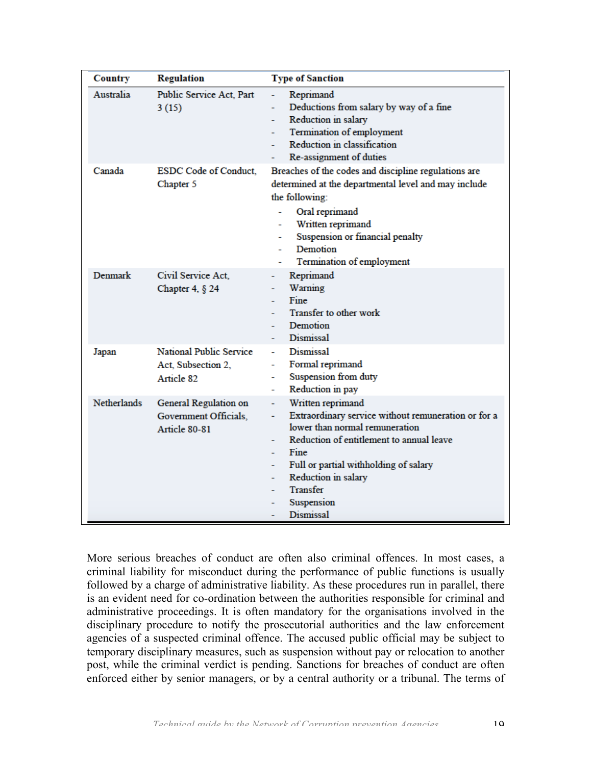| Country            | <b>Regulation</b>                                                  | <b>Type of Sanction</b>                                                                                                                                                                                                                                                                                            |
|--------------------|--------------------------------------------------------------------|--------------------------------------------------------------------------------------------------------------------------------------------------------------------------------------------------------------------------------------------------------------------------------------------------------------------|
| Australia          | Public Service Act, Part<br>3(15)                                  | Reprimand<br>Deductions from salary by way of a fine<br>÷.<br>Reduction in salary<br>$\overline{\phantom{a}}$<br>Termination of employment<br>Reduction in classification<br>Re-assignment of duties                                                                                                               |
| Canada             | <b>ESDC Code of Conduct.</b><br>Chapter 5                          | Breaches of the codes and discipline regulations are<br>determined at the departmental level and may include<br>the following:<br>Oral reprimand<br>Written reprimand<br>Suspension or financial penalty<br>Demotion<br>Termination of employment                                                                  |
| Denmark            | Civil Service Act.<br>Chapter 4, $§$ 24                            | Reprimand<br>$\blacksquare$<br>Warning<br>÷<br>Fine<br>Transfer to other work<br>Demotion<br>٠<br>Dismissal<br>۰                                                                                                                                                                                                   |
| Japan              | <b>National Public Service</b><br>Act, Subsection 2,<br>Article 82 | <b>Dismissal</b><br>u.<br>Formal reprimand<br>÷<br>Suspension from duty<br>Reduction in pay                                                                                                                                                                                                                        |
| <b>Netherlands</b> | General Regulation on<br>Government Officials,<br>Article 80-81    | Written reprimand<br>Extraordinary service without remuneration or for a<br>$\overline{\phantom{a}}$<br>lower than normal remuneration<br>Reduction of entitlement to annual leave<br>÷<br>Fine<br>Full or partial withholding of salary<br>Reduction in salary<br>÷<br>Transfer<br>Suspension<br><b>Dismissal</b> |

More serious breaches of conduct are often also criminal offences. In most cases, a criminal liability for misconduct during the performance of public functions is usually followed by a charge of administrative liability. As these procedures run in parallel, there is an evident need for co-ordination between the authorities responsible for criminal and administrative proceedings. It is often mandatory for the organisations involved in the disciplinary procedure to notify the prosecutorial authorities and the law enforcement agencies of a suspected criminal offence. The accused public official may be subject to temporary disciplinary measures, such as suspension without pay or relocation to another post, while the criminal verdict is pending. Sanctions for breaches of conduct are often enforced either by senior managers, or by a central authority or a tribunal. The terms of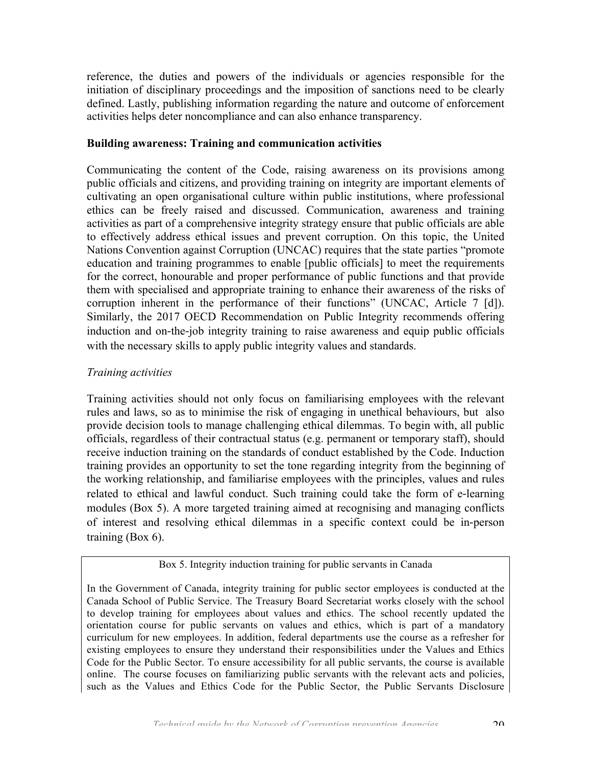reference, the duties and powers of the individuals or agencies responsible for the initiation of disciplinary proceedings and the imposition of sanctions need to be clearly defined. Lastly, publishing information regarding the nature and outcome of enforcement activities helps deter noncompliance and can also enhance transparency.

### **Building awareness: Training and communication activities**

Communicating the content of the Code, raising awareness on its provisions among public officials and citizens, and providing training on integrity are important elements of cultivating an open organisational culture within public institutions, where professional ethics can be freely raised and discussed. Communication, awareness and training activities as part of a comprehensive integrity strategy ensure that public officials are able to effectively address ethical issues and prevent corruption. On this topic, the United Nations Convention against Corruption (UNCAC) requires that the state parties "promote education and training programmes to enable [public officials] to meet the requirements for the correct, honourable and proper performance of public functions and that provide them with specialised and appropriate training to enhance their awareness of the risks of corruption inherent in the performance of their functions" (UNCAC, Article 7 [d]). Similarly, the 2017 OECD Recommendation on Public Integrity recommends offering induction and on-the-job integrity training to raise awareness and equip public officials with the necessary skills to apply public integrity values and standards.

#### *Training activities*

Training activities should not only focus on familiarising employees with the relevant rules and laws, so as to minimise the risk of engaging in unethical behaviours, but also provide decision tools to manage challenging ethical dilemmas. To begin with, all public officials, regardless of their contractual status (e.g. permanent or temporary staff), should receive induction training on the standards of conduct established by the Code. Induction training provides an opportunity to set the tone regarding integrity from the beginning of the working relationship, and familiarise employees with the principles, values and rules related to ethical and lawful conduct. Such training could take the form of e-learning modules (Box 5). A more targeted training aimed at recognising and managing conflicts of interest and resolving ethical dilemmas in a specific context could be in-person training (Box 6).

#### Box 5. Integrity induction training for public servants in Canada

In the Government of Canada, integrity training for public sector employees is conducted at the Canada School of Public Service. The Treasury Board Secretariat works closely with the school to develop training for employees about values and ethics. The school recently updated the orientation course for public servants on values and ethics, which is part of a mandatory curriculum for new employees. In addition, federal departments use the course as a refresher for existing employees to ensure they understand their responsibilities under the Values and Ethics Code for the Public Sector. To ensure accessibility for all public servants, the course is available online. The course focuses on familiarizing public servants with the relevant acts and policies, such as the Values and Ethics Code for the Public Sector, the Public Servants Disclosure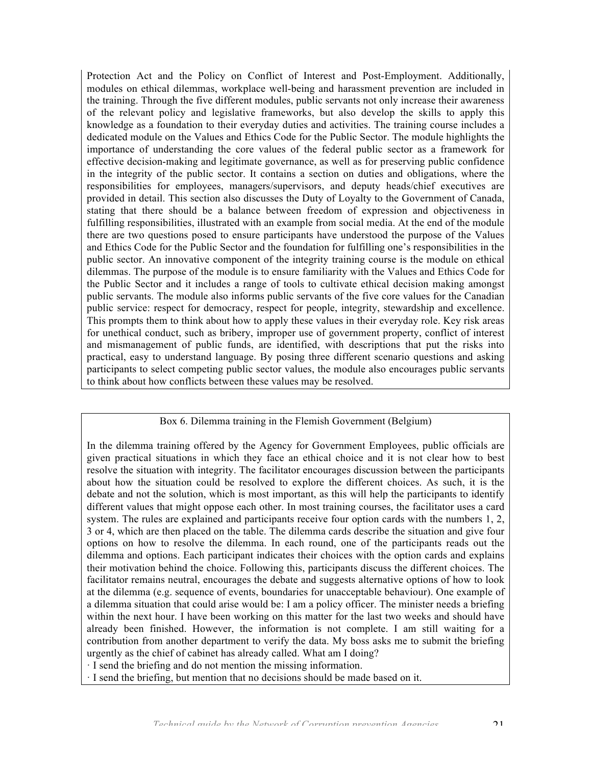Protection Act and the Policy on Conflict of Interest and Post-Employment. Additionally, modules on ethical dilemmas, workplace well-being and harassment prevention are included in the training. Through the five different modules, public servants not only increase their awareness of the relevant policy and legislative frameworks, but also develop the skills to apply this knowledge as a foundation to their everyday duties and activities. The training course includes a dedicated module on the Values and Ethics Code for the Public Sector. The module highlights the importance of understanding the core values of the federal public sector as a framework for effective decision-making and legitimate governance, as well as for preserving public confidence in the integrity of the public sector. It contains a section on duties and obligations, where the responsibilities for employees, managers/supervisors, and deputy heads/chief executives are provided in detail. This section also discusses the Duty of Loyalty to the Government of Canada, stating that there should be a balance between freedom of expression and objectiveness in fulfilling responsibilities, illustrated with an example from social media. At the end of the module there are two questions posed to ensure participants have understood the purpose of the Values and Ethics Code for the Public Sector and the foundation for fulfilling one's responsibilities in the public sector. An innovative component of the integrity training course is the module on ethical dilemmas. The purpose of the module is to ensure familiarity with the Values and Ethics Code for the Public Sector and it includes a range of tools to cultivate ethical decision making amongst public servants. The module also informs public servants of the five core values for the Canadian public service: respect for democracy, respect for people, integrity, stewardship and excellence. This prompts them to think about how to apply these values in their everyday role. Key risk areas for unethical conduct, such as bribery, improper use of government property, conflict of interest and mismanagement of public funds, are identified, with descriptions that put the risks into practical, easy to understand language. By posing three different scenario questions and asking participants to select competing public sector values, the module also encourages public servants to think about how conflicts between these values may be resolved.

#### Box 6. Dilemma training in the Flemish Government (Belgium)

In the dilemma training offered by the Agency for Government Employees, public officials are given practical situations in which they face an ethical choice and it is not clear how to best resolve the situation with integrity. The facilitator encourages discussion between the participants about how the situation could be resolved to explore the different choices. As such, it is the debate and not the solution, which is most important, as this will help the participants to identify different values that might oppose each other. In most training courses, the facilitator uses a card system. The rules are explained and participants receive four option cards with the numbers 1, 2, 3 or 4, which are then placed on the table. The dilemma cards describe the situation and give four options on how to resolve the dilemma. In each round, one of the participants reads out the dilemma and options. Each participant indicates their choices with the option cards and explains their motivation behind the choice. Following this, participants discuss the different choices. The facilitator remains neutral, encourages the debate and suggests alternative options of how to look at the dilemma (e.g. sequence of events, boundaries for unacceptable behaviour). One example of a dilemma situation that could arise would be: I am a policy officer. The minister needs a briefing within the next hour. I have been working on this matter for the last two weeks and should have already been finished. However, the information is not complete. I am still waiting for a contribution from another department to verify the data. My boss asks me to submit the briefing urgently as the chief of cabinet has already called. What am I doing?

· I send the briefing and do not mention the missing information.

· I send the briefing, but mention that no decisions should be made based on it.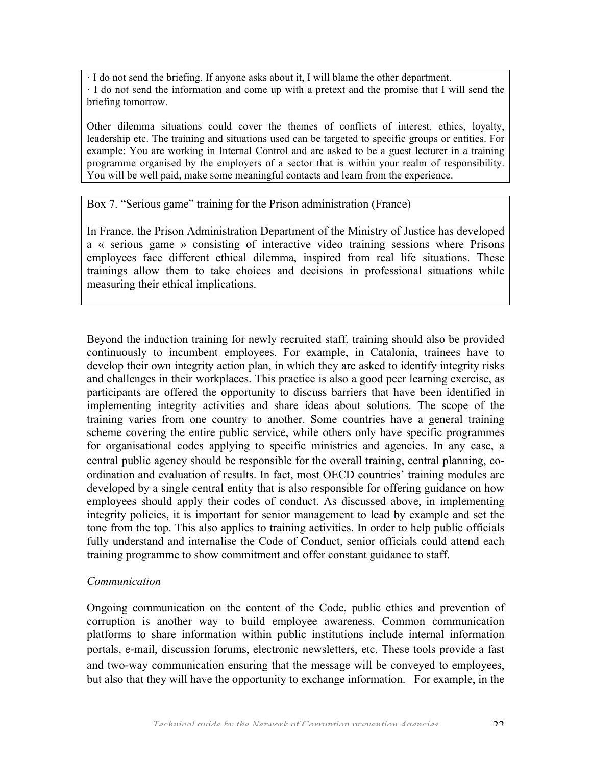· I do not send the briefing. If anyone asks about it, I will blame the other department. · I do not send the information and come up with a pretext and the promise that I will send the briefing tomorrow.

Other dilemma situations could cover the themes of conflicts of interest, ethics, loyalty, leadership etc. The training and situations used can be targeted to specific groups or entities. For example: You are working in Internal Control and are asked to be a guest lecturer in a training programme organised by the employers of a sector that is within your realm of responsibility. You will be well paid, make some meaningful contacts and learn from the experience.

#### Box 7. "Serious game" training for the Prison administration (France)

In France, the Prison Administration Department of the Ministry of Justice has developed a « serious game » consisting of interactive video training sessions where Prisons employees face different ethical dilemma, inspired from real life situations. These trainings allow them to take choices and decisions in professional situations while measuring their ethical implications.

Beyond the induction training for newly recruited staff, training should also be provided continuously to incumbent employees. For example, in Catalonia, trainees have to develop their own integrity action plan, in which they are asked to identify integrity risks and challenges in their workplaces. This practice is also a good peer learning exercise, as participants are offered the opportunity to discuss barriers that have been identified in implementing integrity activities and share ideas about solutions. The scope of the training varies from one country to another. Some countries have a general training scheme covering the entire public service, while others only have specific programmes for organisational codes applying to specific ministries and agencies. In any case, a central public agency should be responsible for the overall training, central planning, coordination and evaluation of results. In fact, most OECD countries' training modules are developed by a single central entity that is also responsible for offering guidance on how employees should apply their codes of conduct. As discussed above, in implementing integrity policies, it is important for senior management to lead by example and set the tone from the top. This also applies to training activities. In order to help public officials fully understand and internalise the Code of Conduct, senior officials could attend each training programme to show commitment and offer constant guidance to staff.

#### *Communication*

Ongoing communication on the content of the Code, public ethics and prevention of corruption is another way to build employee awareness. Common communication platforms to share information within public institutions include internal information portals, e-mail, discussion forums, electronic newsletters, etc. These tools provide a fast and two-way communication ensuring that the message will be conveyed to employees, but also that they will have the opportunity to exchange information. For example, in the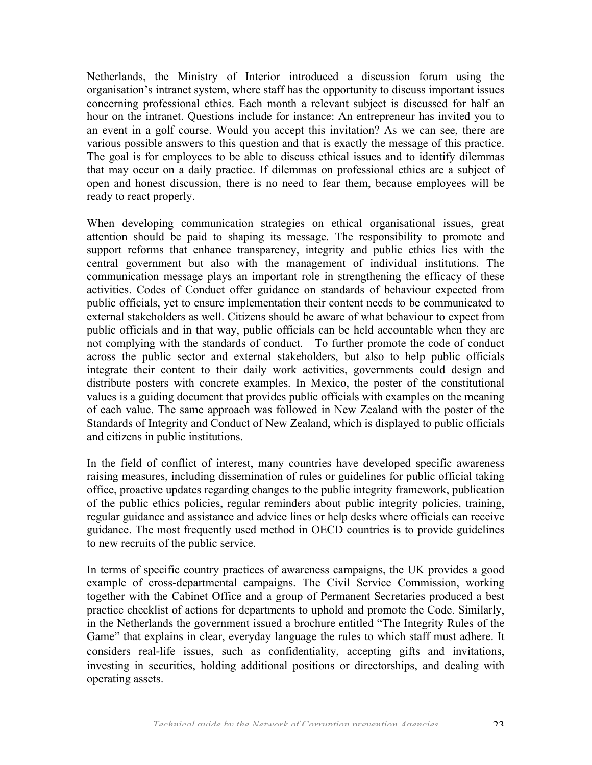Netherlands, the Ministry of Interior introduced a discussion forum using the organisation's intranet system, where staff has the opportunity to discuss important issues concerning professional ethics. Each month a relevant subject is discussed for half an hour on the intranet. Questions include for instance: An entrepreneur has invited you to an event in a golf course. Would you accept this invitation? As we can see, there are various possible answers to this question and that is exactly the message of this practice. The goal is for employees to be able to discuss ethical issues and to identify dilemmas that may occur on a daily practice. If dilemmas on professional ethics are a subject of open and honest discussion, there is no need to fear them, because employees will be ready to react properly.

When developing communication strategies on ethical organisational issues, great attention should be paid to shaping its message. The responsibility to promote and support reforms that enhance transparency, integrity and public ethics lies with the central government but also with the management of individual institutions. The communication message plays an important role in strengthening the efficacy of these activities. Codes of Conduct offer guidance on standards of behaviour expected from public officials, yet to ensure implementation their content needs to be communicated to external stakeholders as well. Citizens should be aware of what behaviour to expect from public officials and in that way, public officials can be held accountable when they are not complying with the standards of conduct. To further promote the code of conduct across the public sector and external stakeholders, but also to help public officials integrate their content to their daily work activities, governments could design and distribute posters with concrete examples. In Mexico, the poster of the constitutional values is a guiding document that provides public officials with examples on the meaning of each value. The same approach was followed in New Zealand with the poster of the Standards of Integrity and Conduct of New Zealand, which is displayed to public officials and citizens in public institutions.

In the field of conflict of interest, many countries have developed specific awareness raising measures, including dissemination of rules or guidelines for public official taking office, proactive updates regarding changes to the public integrity framework, publication of the public ethics policies, regular reminders about public integrity policies, training, regular guidance and assistance and advice lines or help desks where officials can receive guidance. The most frequently used method in OECD countries is to provide guidelines to new recruits of the public service.

In terms of specific country practices of awareness campaigns, the UK provides a good example of cross-departmental campaigns. The Civil Service Commission, working together with the Cabinet Office and a group of Permanent Secretaries produced a best practice checklist of actions for departments to uphold and promote the Code. Similarly, in the Netherlands the government issued a brochure entitled "The Integrity Rules of the Game" that explains in clear, everyday language the rules to which staff must adhere. It considers real-life issues, such as confidentiality, accepting gifts and invitations, investing in securities, holding additional positions or directorships, and dealing with operating assets.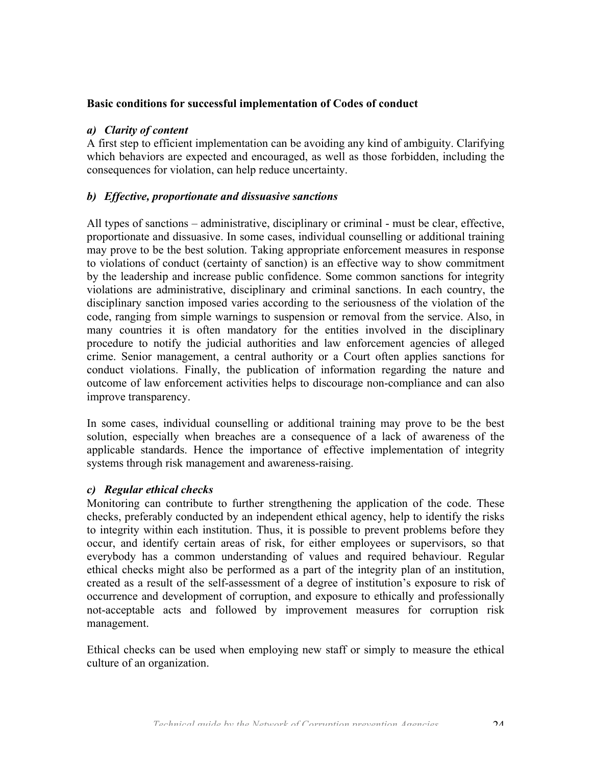#### **Basic conditions for successful implementation of Codes of conduct**

#### *a) Clarity of content*

A first step to efficient implementation can be avoiding any kind of ambiguity. Clarifying which behaviors are expected and encouraged, as well as those forbidden, including the consequences for violation, can help reduce uncertainty.

#### *b) Effective, proportionate and dissuasive sanctions*

All types of sanctions – administrative, disciplinary or criminal - must be clear, effective, proportionate and dissuasive. In some cases, individual counselling or additional training may prove to be the best solution. Taking appropriate enforcement measures in response to violations of conduct (certainty of sanction) is an effective way to show commitment by the leadership and increase public confidence. Some common sanctions for integrity violations are administrative, disciplinary and criminal sanctions. In each country, the disciplinary sanction imposed varies according to the seriousness of the violation of the code, ranging from simple warnings to suspension or removal from the service. Also, in many countries it is often mandatory for the entities involved in the disciplinary procedure to notify the judicial authorities and law enforcement agencies of alleged crime. Senior management, a central authority or a Court often applies sanctions for conduct violations. Finally, the publication of information regarding the nature and outcome of law enforcement activities helps to discourage non-compliance and can also improve transparency.

In some cases, individual counselling or additional training may prove to be the best solution, especially when breaches are a consequence of a lack of awareness of the applicable standards. Hence the importance of effective implementation of integrity systems through risk management and awareness-raising.

#### *c) Regular ethical checks*

Monitoring can contribute to further strengthening the application of the code. These checks, preferably conducted by an independent ethical agency, help to identify the risks to integrity within each institution. Thus, it is possible to prevent problems before they occur, and identify certain areas of risk, for either employees or supervisors, so that everybody has a common understanding of values and required behaviour. Regular ethical checks might also be performed as a part of the integrity plan of an institution, created as a result of the self-assessment of a degree of institution's exposure to risk of occurrence and development of corruption, and exposure to ethically and professionally not-acceptable acts and followed by improvement measures for corruption risk management.

Ethical checks can be used when employing new staff or simply to measure the ethical culture of an organization.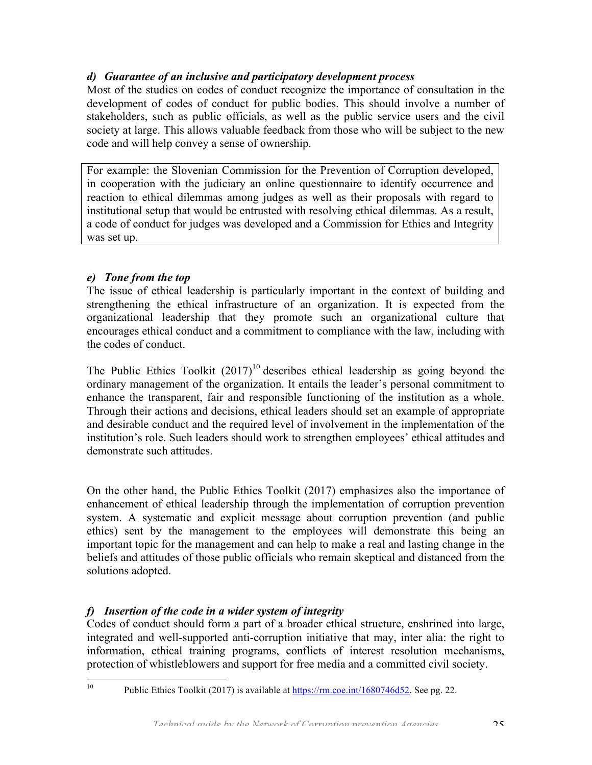## *d) Guarantee of an inclusive and participatory development process*

Most of the studies on codes of conduct recognize the importance of consultation in the development of codes of conduct for public bodies. This should involve a number of stakeholders, such as public officials, as well as the public service users and the civil society at large. This allows valuable feedback from those who will be subject to the new code and will help convey a sense of ownership.

For example: the Slovenian Commission for the Prevention of Corruption developed, in cooperation with the judiciary an online questionnaire to identify occurrence and reaction to ethical dilemmas among judges as well as their proposals with regard to institutional setup that would be entrusted with resolving ethical dilemmas. As a result, a code of conduct for judges was developed and a Commission for Ethics and Integrity was set up.

## *e) Tone from the top*

The issue of ethical leadership is particularly important in the context of building and strengthening the ethical infrastructure of an organization. It is expected from the organizational leadership that they promote such an organizational culture that encourages ethical conduct and a commitment to compliance with the law, including with the codes of conduct.

The Public Ethics Toolkit  $(2017)^{10}$  describes ethical leadership as going beyond the ordinary management of the organization. It entails the leader's personal commitment to enhance the transparent, fair and responsible functioning of the institution as a whole. Through their actions and decisions, ethical leaders should set an example of appropriate and desirable conduct and the required level of involvement in the implementation of the institution's role. Such leaders should work to strengthen employees' ethical attitudes and demonstrate such attitudes.

On the other hand, the Public Ethics Toolkit (2017) emphasizes also the importance of enhancement of ethical leadership through the implementation of corruption prevention system. A systematic and explicit message about corruption prevention (and public ethics) sent by the management to the employees will demonstrate this being an important topic for the management and can help to make a real and lasting change in the beliefs and attitudes of those public officials who remain skeptical and distanced from the solutions adopted.

## *f) Insertion of the code in a wider system of integrity*

Codes of conduct should form a part of a broader ethical structure, enshrined into large, integrated and well-supported anti-corruption initiative that may, inter alia: the right to information, ethical training programs, conflicts of interest resolution mechanisms, protection of whistleblowers and support for free media and a committed civil society.

<sup>&</sup>lt;sup>10</sup> Public Ethics Toolkit (2017) is available at https://rm.coe.int/1680746d52. See pg. 22.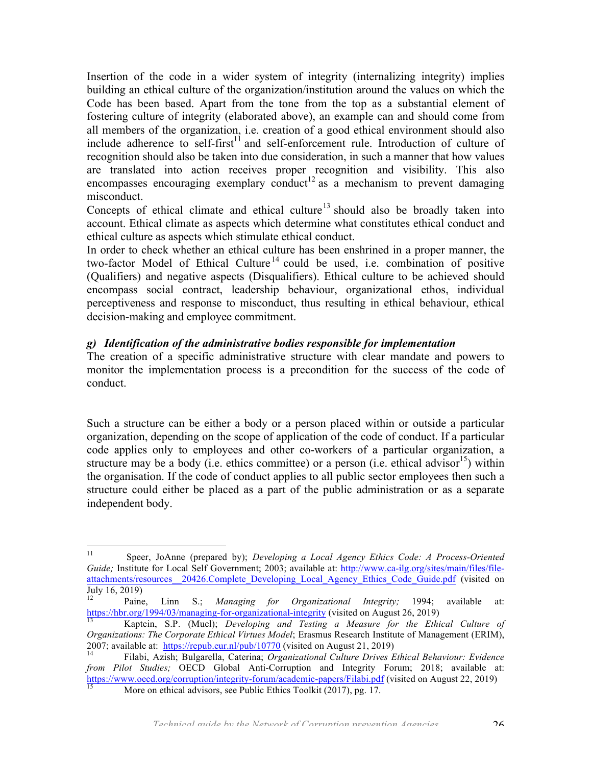Insertion of the code in a wider system of integrity (internalizing integrity) implies building an ethical culture of the organization/institution around the values on which the Code has been based. Apart from the tone from the top as a substantial element of fostering culture of integrity (elaborated above), an example can and should come from all members of the organization, i.e. creation of a good ethical environment should also include adherence to self-first<sup>11</sup> and self-enforcement rule. Introduction of culture of recognition should also be taken into due consideration, in such a manner that how values are translated into action receives proper recognition and visibility. This also encompasses encouraging exemplary conduct<sup>12</sup> as a mechanism to prevent damaging misconduct.

Concepts of ethical climate and ethical culture<sup>13</sup> should also be broadly taken into account. Ethical climate as aspects which determine what constitutes ethical conduct and ethical culture as aspects which stimulate ethical conduct.

In order to check whether an ethical culture has been enshrined in a proper manner, the two-factor Model of Ethical Culture<sup>14</sup> could be used, i.e. combination of positive (Qualifiers) and negative aspects (Disqualifiers). Ethical culture to be achieved should encompass social contract, leadership behaviour, organizational ethos, individual perceptiveness and response to misconduct, thus resulting in ethical behaviour, ethical decision-making and employee commitment.

## *g) Identification of the administrative bodies responsible for implementation*

The creation of a specific administrative structure with clear mandate and powers to monitor the implementation process is a precondition for the success of the code of conduct.

Such a structure can be either a body or a person placed within or outside a particular organization, depending on the scope of application of the code of conduct. If a particular code applies only to employees and other co-workers of a particular organization, a structure may be a body (i.e. ethics committee) or a person (i.e. ethical advisor  $15$ ) within the organisation. If the code of conduct applies to all public sector employees then such a structure could either be placed as a part of the public administration or as a separate independent body.

 11 Speer, JoAnne (prepared by); *Developing a Local Agency Ethics Code: A Process-Oriented Guide;* Institute for Local Self Government; 2003; available at: http://www.ca-ilg.org/sites/main/files/fileattachments/resources 20426.Complete\_Developing\_Local\_Agency\_Ethics\_Code\_Guide.pdf (visited on July 16, 2019)

<sup>12</sup> Paine, Linn S.; *Managing for Organizational Integrity;* 1994; available at: https://hbr.org/1994/03/managing-for-organizational-integrity (visited on August 26, 2019)<br><sup>13</sup> Kaptein, S.P. (Muel); *Developing and Testing a Measure for the Ethical Culture of* 

*Organizations: The Corporate Ethical Virtues Model*; Erasmus Research Institute of Management (ERIM), 2007; available at: https://repub.eur.nl/pub/10770 (visited on August 21, 2019)<br><sup>14</sup> Filabi, Azish; Bulgarella, Caterina; *Organizational Culture Drives Ethical Behaviour: Evidence* 

*from Pilot Studies;* OECD Global Anti-Corruption and Integrity Forum; 2018; available at: https://www.oecd.org/corruption/integrity-forum/academic-papers/Filabi.pdf (visited on August 22, 2019)<br>
More on ethical advisors, see Public Ethics Toolkit (2017), pg. 17.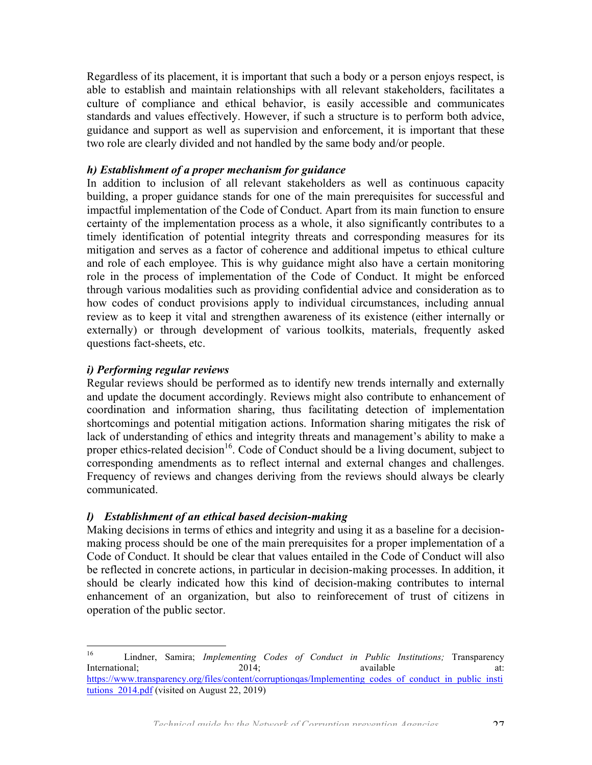Regardless of its placement, it is important that such a body or a person enjoys respect, is able to establish and maintain relationships with all relevant stakeholders, facilitates a culture of compliance and ethical behavior, is easily accessible and communicates standards and values effectively. However, if such a structure is to perform both advice, guidance and support as well as supervision and enforcement, it is important that these two role are clearly divided and not handled by the same body and/or people.

#### *h) Establishment of a proper mechanism for guidance*

In addition to inclusion of all relevant stakeholders as well as continuous capacity building, a proper guidance stands for one of the main prerequisites for successful and impactful implementation of the Code of Conduct. Apart from its main function to ensure certainty of the implementation process as a whole, it also significantly contributes to a timely identification of potential integrity threats and corresponding measures for its mitigation and serves as a factor of coherence and additional impetus to ethical culture and role of each employee. This is why guidance might also have a certain monitoring role in the process of implementation of the Code of Conduct. It might be enforced through various modalities such as providing confidential advice and consideration as to how codes of conduct provisions apply to individual circumstances, including annual review as to keep it vital and strengthen awareness of its existence (either internally or externally) or through development of various toolkits, materials, frequently asked questions fact-sheets, etc.

#### *i) Performing regular reviews*

Regular reviews should be performed as to identify new trends internally and externally and update the document accordingly. Reviews might also contribute to enhancement of coordination and information sharing, thus facilitating detection of implementation shortcomings and potential mitigation actions. Information sharing mitigates the risk of lack of understanding of ethics and integrity threats and management's ability to make a proper ethics-related decision<sup>16</sup>. Code of Conduct should be a living document, subject to corresponding amendments as to reflect internal and external changes and challenges. Frequency of reviews and changes deriving from the reviews should always be clearly communicated.

#### *l) Establishment of an ethical based decision-making*

Making decisions in terms of ethics and integrity and using it as a baseline for a decisionmaking process should be one of the main prerequisites for a proper implementation of a Code of Conduct. It should be clear that values entailed in the Code of Conduct will also be reflected in concrete actions, in particular in decision-making processes. In addition, it should be clearly indicated how this kind of decision-making contributes to internal enhancement of an organization, but also to reinforecement of trust of citizens in operation of the public sector.

 <sup>16</sup> Lindner, Samira; *Implementing Codes of Conduct in Public Institutions;* Transparency International; 2014; available at: https://www.transparency.org/files/content/corruptionqas/Implementing\_codes\_of\_conduct\_in\_public\_insti tutions  $2014.pdf$  (visited on August 22, 2019)